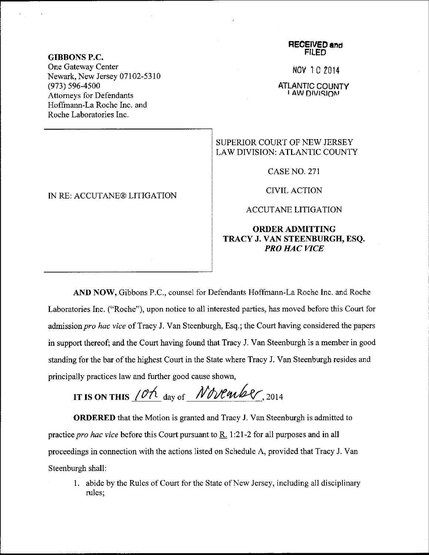### GIBBONS P.C,

One Gateway Center Newark, New Jersey 07102-5310 (973) s96-4s00 Attomeys for Defendants Hoffmann-La Roche Inc. and Roche Laboratories Inc.

### IN RE: ACCUTANE@ LITIGATION

#### **RECEIVED and** FILED

NOV 10 2014

ATLANTIC COUNTY **I AW DIVISION** 

## SUPERIOR COURT OF NEW JERSEY LAW DIVISION: ATLANTIC COUNTY

CASE NO. 271

CIVILACTION

ACCUTANE LITIGATION

# ORDERADMITTING TRACY J. VAN STEENBURGH, ESQ. **PRO HAC VICE**

AND NOW, Gibbons P.C., counsel for Defendants Hoffmann-La Roche Inc. and Roche Laboratories Inc. ("Roche"), upon notice to all interested parties, has moved before this Court for admission pro hac vice of Tracy J. Van Steenburgh, Esq.; the Court having considered the papers in support thereof; and the Court having found that Tracy J. Van Steenburgh is a member in good standing for the bar of the highest Court in the State where Tracy J. Van Steenburgh resides and principally practices law and further good cause shown,

IT IS ON THIS  $10\%$  day of November, 2014

ORDERED that the Motion is granted and Tracy J. Van Steenburgh is admitted to practice *pro hac vice* before this Court pursuant to  $\underline{R}$ . 1:21-2 for all purposes and in all proceedings in connection with the actions listed on Schedule A, provided that Tracy J. Van Steenburgh shall:

1. abide by the Rules of Court for the State of New Jersey, including all disciplinary rules: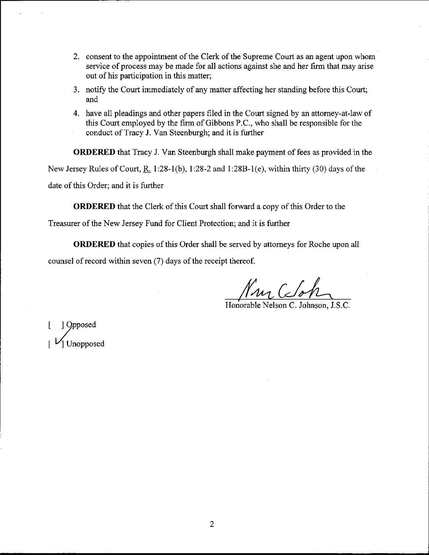- 2. consent to the appointment of the Clerk of the Supreme Court as an agent upon whom service of process may be made for all actions against she and her firm that may arise out of his participation in this matter;
- 3. notify the Court immediately of any matter affecting her standing before this Court; and
- 4. have all pleadings and other papers filed in the Court signed by an attomey-at-law of this Court employed by the firm of Gibbons P.C., who shall be responsible for the conduct of Tracy J. Van Steenburgh; and it is further

ORDERED that Tracy J. Van Steenburgh shall make payment of fees as provided in the New Jersey Rules of Court,  $R_1$  1:28-1(b), 1:28-2 and 1:28B-1(e), within thirty (30) days of the date of this Order; and it is funher

ORDERED that the Clerk of this Court shall forward a copy of this Order to the

Treasurer of the New Jersey Fund for Client Protection; and it is further

ORDERED that copies of this Order shall be served by attomeys for Roche upon all counsel of record within seven (7) days of the receipt thereof.

 $\mathcal{N}_{\mathcal{M}}$ , Coh

Honorable Nelson C. Johnson, J.S.C.

[ ] orPPosed Unopposed